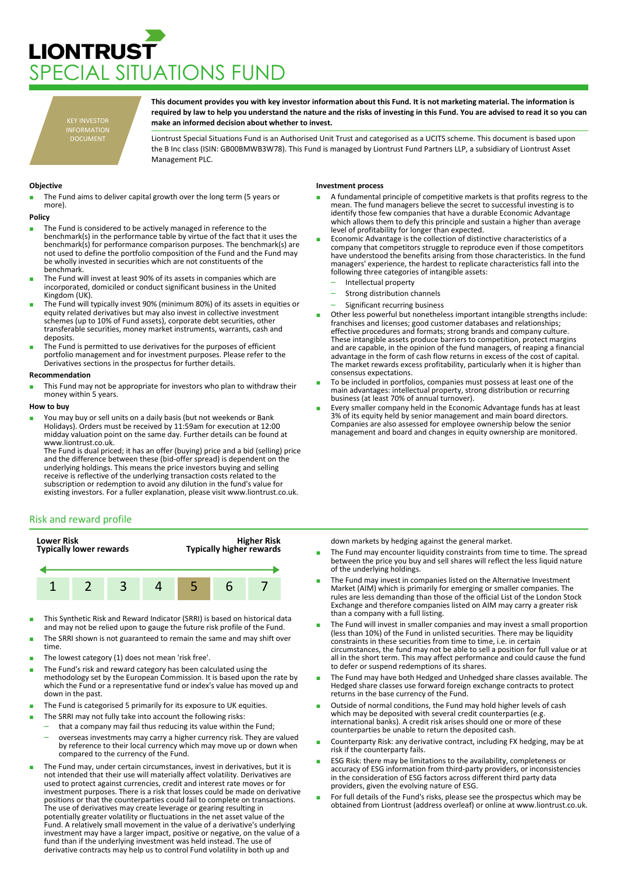# **LIONTRUST** PECIAL SITUATIONS FUND

KEY INVESTOR INFORMATION DOCUMENT

**This document provides you with key investor information about this Fund. It is not marketing material. The information is required by law to help you understand the nature and the risks of investing in this Fund. You are advised to read it so you can make an informed decision about whether to invest.**

Liontrust Special Situations Fund is an Authorised Unit Trust and categorised as a UCITS scheme. This document is based upon the B Inc class (ISIN: GB00BMWB3W78). This Fund is managed by Liontrust Fund Partners LLP, a subsidiary of Liontrust Asset Management PLC.

# **Objective**

The Fund aims to deliver capital growth over the long term (5 years or more).

#### **Policy**

- The Fund is considered to be actively managed in reference to the benchmark(s) in the performance table by virtue of the fact that it uses the benchmark(s) for performance comparison purposes. The benchmark(s) are not used to define the portfolio composition of the Fund and the Fund may be wholly invested in securities which are not constituents of the benchmark.
- The Fund will invest at least 90% of its assets in companies which are incorporated, domiciled or conduct significant business in the United Kingdom (UK).
- The Fund will typically invest 90% (minimum 80%) of its assets in equities or equity related derivatives but may also invest in collective investment schemes (up to 10% of Fund assets), corporate debt securities, other transferable securities, money market instruments, warrants, cash and deposits.
- The Fund is permitted to use derivatives for the purposes of efficient portfolio management and for investment purposes. Please refer to the Derivatives sections in the prospectus for further details.

## **Recommendation**

This Fund may not be appropriate for investors who plan to withdraw their money within 5 years.

## **How to buy**

You may buy or sell units on a daily basis (but not weekends or Bank Holidays). Orders must be received by 11:59am for execution at 12:00 midday valuation point on the same day. Further details can be found at www.liontrust.co.uk.

The Fund is dual priced; it has an offer (buying) price and a bid (selling) price and the difference between these (bid-offer spread) is dependent on the underlying holdings. This means the price investors buying and selling receive is reflective of the underlying transaction costs related to the subscription or redemption to avoid any dilution in the fund's value for existing investors. For a fuller explanation, please visit www.liontrust.co.uk.

# Risk and reward profile



- This Synthetic Risk and Reward Indicator (SRRI) is based on historical data and may not be relied upon to gauge the future risk profile of the Fund.
- The SRRI shown is not guaranteed to remain the same and may shift over time.
- The lowest category (1) does not mean 'risk free'.
- The Fund's risk and reward category has been calculated using the methodology set by the European Commission. It is based upon the rate by which the Fund or a representative fund or index's value has moved up and down in the past.
- The Fund is categorised 5 primarily for its exposure to UK equities.
- The SRRI may not fully take into account the following risks:
	- that a company may fail thus reducing its value within the Fund; – overseas investments may carry a higher currency risk. They are valued
	- by reference to their local currency which may move up or down when compared to the currency of the Fund.
- The Fund may, under certain circumstances, invest in derivatives, but it is not intended that their use will materially affect volatility. Derivatives are used to protect against currencies, credit and interest rate moves or for investment purposes. There is a risk that losses could be made on derivative positions or that the counterparties could fail to complete on transactions. The use of derivatives may create leverage or gearing resulting in potentially greater volatility or fluctuations in the net asset value of the Fund. A relatively small movement in the value of a derivative's underlying investment may have a larger impact, positive or negative, on the value of a fund than if the underlying investment was held instead. The use of derivative contracts may help us to control Fund volatility in both up and

## **Investment process**

- A fundamental principle of competitive markets is that profits regress to the mean. The fund managers believe the secret to successful investing is to identify those few companies that have a durable Economic Advantage which allows them to defy this principle and sustain a higher than average level of profitability for longer than expected.
- Economic Advantage is the collection of distinctive characteristics of a company that competitors struggle to reproduce even if those competitors have understood the benefits arising from those characteristics. In the fund managers' experience, the hardest to replicate characteristics fall into the following three categories of intangible assets:
	- Intellectual property
	- Strong distribution channels
	- Significant recurring business
- Other less powerful but nonetheless important intangible strengths include: franchises and licenses; good customer databases and relationships; effective procedures and formats; strong brands and company culture. These intangible assets produce barriers to competition, protect margins and are capable, in the opinion of the fund managers, of reaping a financial advantage in the form of cash flow returns in excess of the cost of capital. The market rewards excess profitability, particularly when it is higher than consensus expectations.
- To be included in portfolios, companies must possess at least one of the main advantages: intellectual property, strong distribution or recurring business (at least 70% of annual turnover).
- Every smaller company held in the Economic Advantage funds has at least 3% of its equity held by senior management and main board directors. Companies are also assessed for employee ownership below the senior management and board and changes in equity ownership are monitored.

down markets by hedging against the general market.

- The Fund may encounter liquidity constraints from time to time. The spread between the price you buy and sell shares will reflect the less liquid nature of the underlying holdings.
- The Fund may invest in companies listed on the Alternative Investment Market (AIM) which is primarily for emerging or smaller companies. The rules are less demanding than those of the official List of the London Stock Exchange and therefore companies listed on AIM may carry a greater risk than a company with a full listing.
- The Fund will invest in smaller companies and may invest a small proportion (less than 10%) of the Fund in unlisted securities. There may be liquidity constraints in these securities from time to time, i.e. in certain circumstances, the fund may not be able to sell a position for full value or at all in the short term. This may affect performance and could cause the fund to defer or suspend redemptions of its shares.
- The Fund may have both Hedged and Unhedged share classes available. The Hedged share classes use forward foreign exchange contracts to protect returns in the base currency of the Fund.
- Outside of normal conditions, the Fund may hold higher levels of cash which may be deposited with several credit counterparties (e.g. international banks). A credit risk arises should one or more of these counterparties be unable to return the deposited cash.
- Counterparty Risk: any derivative contract, including FX hedging, may be at risk if the counterparty fails.
- ESG Risk: there may be limitations to the availability, completeness or accuracy of ESG information from third-party providers, or inconsistencies in the consideration of ESG factors across different third party data providers, given the evolving nature of ESG.
- For full details of the Fund's risks, please see the prospectus which may be obtained from Liontrust (address overleaf) or online at www.liontrust.co.uk.